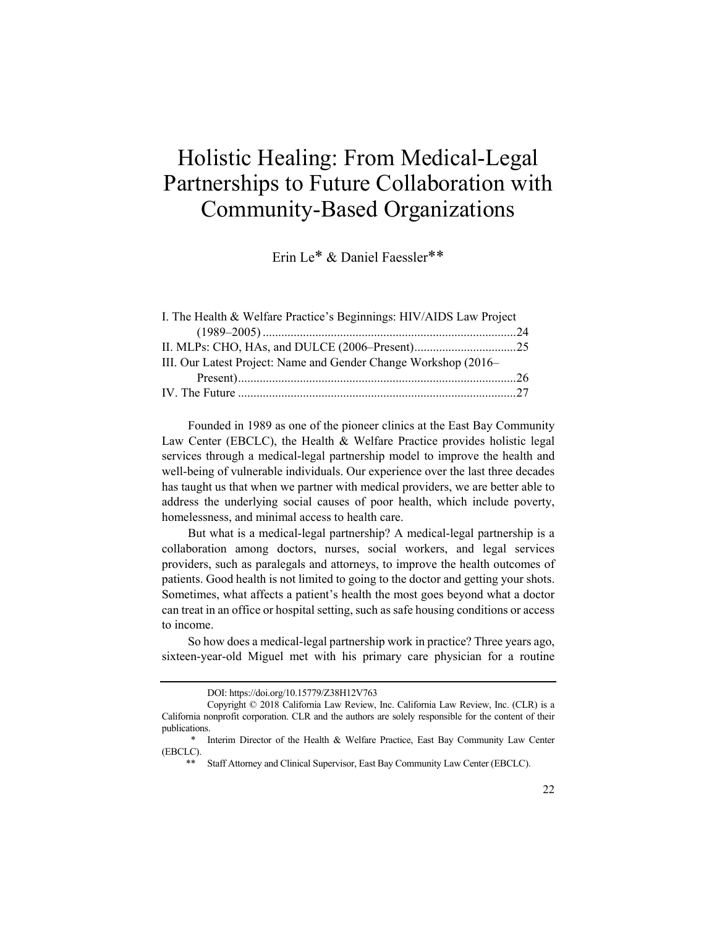# Holistic Healing: From Medical-Legal Partnerships to Future Collaboration with Community-Based Organizations

Erin Le\* & Daniel Faessler\*\*

| I. The Health & Welfare Practice's Beginnings: HIV/AIDS Law Project |  |
|---------------------------------------------------------------------|--|
|                                                                     |  |
|                                                                     |  |
| III. Our Latest Project: Name and Gender Change Workshop (2016–     |  |
|                                                                     |  |
|                                                                     |  |

Founded in 1989 as one of the pioneer clinics at the East Bay Community Law Center (EBCLC), the Health & Welfare Practice provides holistic legal services through a medical-legal partnership model to improve the health and well-being of vulnerable individuals. Our experience over the last three decades has taught us that when we partner with medical providers, we are better able to address the underlying social causes of poor health, which include poverty, homelessness, and minimal access to health care.

But what is a medical-legal partnership? A medical-legal partnership is a collaboration among doctors, nurses, social workers, and legal services providers, such as paralegals and attorneys, to improve the health outcomes of patients. Good health is not limited to going to the doctor and getting your shots. Sometimes, what affects a patient's health the most goes beyond what a doctor can treat in an office or hospital setting, such as safe housing conditions or access to income.

So how does a medical-legal partnership work in practice? Three years ago, sixteen-year-old Miguel met with his primary care physician for a routine

DOI: https://doi.org/10.15779/Z38H12V763

Copyright © 2018 California Law Review, Inc. California Law Review, Inc. (CLR) is a California nonprofit corporation. CLR and the authors are solely responsible for the content of their publications.

<sup>\*</sup> Interim Director of the Health & Welfare Practice, East Bay Community Law Center (EBCLC).

Staff Attorney and Clinical Supervisor, East Bay Community Law Center (EBCLC).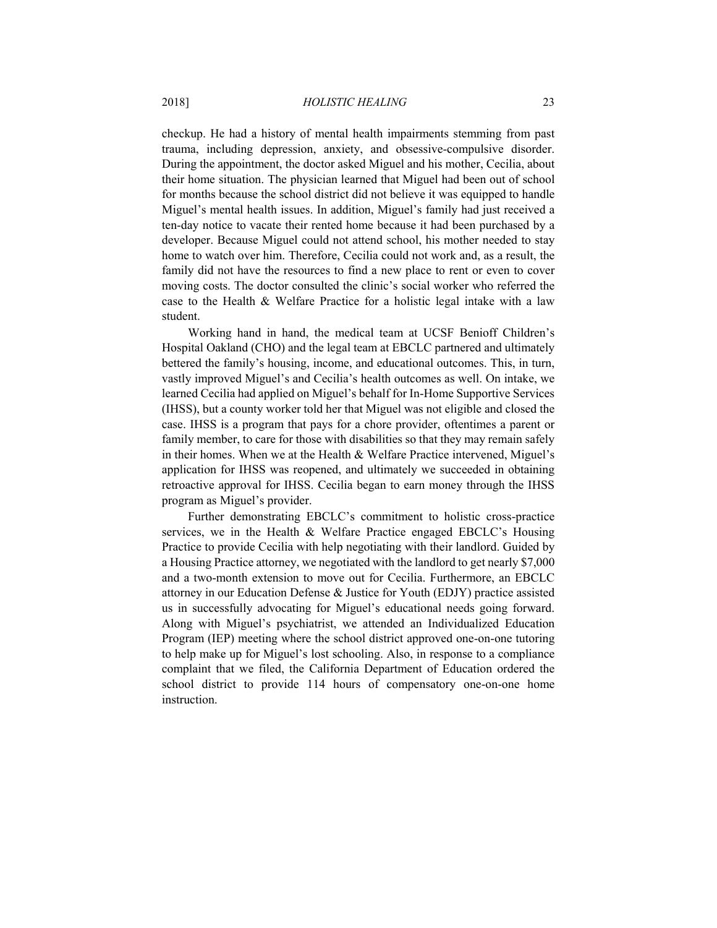checkup. He had a history of mental health impairments stemming from past trauma, including depression, anxiety, and obsessive-compulsive disorder. During the appointment, the doctor asked Miguel and his mother, Cecilia, about their home situation. The physician learned that Miguel had been out of school for months because the school district did not believe it was equipped to handle Miguel's mental health issues. In addition, Miguel's family had just received a ten-day notice to vacate their rented home because it had been purchased by a developer. Because Miguel could not attend school, his mother needed to stay home to watch over him. Therefore, Cecilia could not work and, as a result, the family did not have the resources to find a new place to rent or even to cover moving costs. The doctor consulted the clinic's social worker who referred the case to the Health & Welfare Practice for a holistic legal intake with a law student.

Working hand in hand, the medical team at UCSF Benioff Children's Hospital Oakland (CHO) and the legal team at EBCLC partnered and ultimately bettered the family's housing, income, and educational outcomes. This, in turn, vastly improved Miguel's and Cecilia's health outcomes as well. On intake, we learned Cecilia had applied on Miguel's behalf for In-Home Supportive Services (IHSS), but a county worker told her that Miguel was not eligible and closed the case. IHSS is a program that pays for a chore provider, oftentimes a parent or family member, to care for those with disabilities so that they may remain safely in their homes. When we at the Health & Welfare Practice intervened, Miguel's application for IHSS was reopened, and ultimately we succeeded in obtaining retroactive approval for IHSS. Cecilia began to earn money through the IHSS program as Miguel's provider.

Further demonstrating EBCLC's commitment to holistic cross-practice services, we in the Health & Welfare Practice engaged EBCLC's Housing Practice to provide Cecilia with help negotiating with their landlord. Guided by a Housing Practice attorney, we negotiated with the landlord to get nearly \$7,000 and a two-month extension to move out for Cecilia. Furthermore, an EBCLC attorney in our Education Defense & Justice for Youth (EDJY) practice assisted us in successfully advocating for Miguel's educational needs going forward. Along with Miguel's psychiatrist, we attended an Individualized Education Program (IEP) meeting where the school district approved one-on-one tutoring to help make up for Miguel's lost schooling. Also, in response to a compliance complaint that we filed, the California Department of Education ordered the school district to provide 114 hours of compensatory one-on-one home instruction.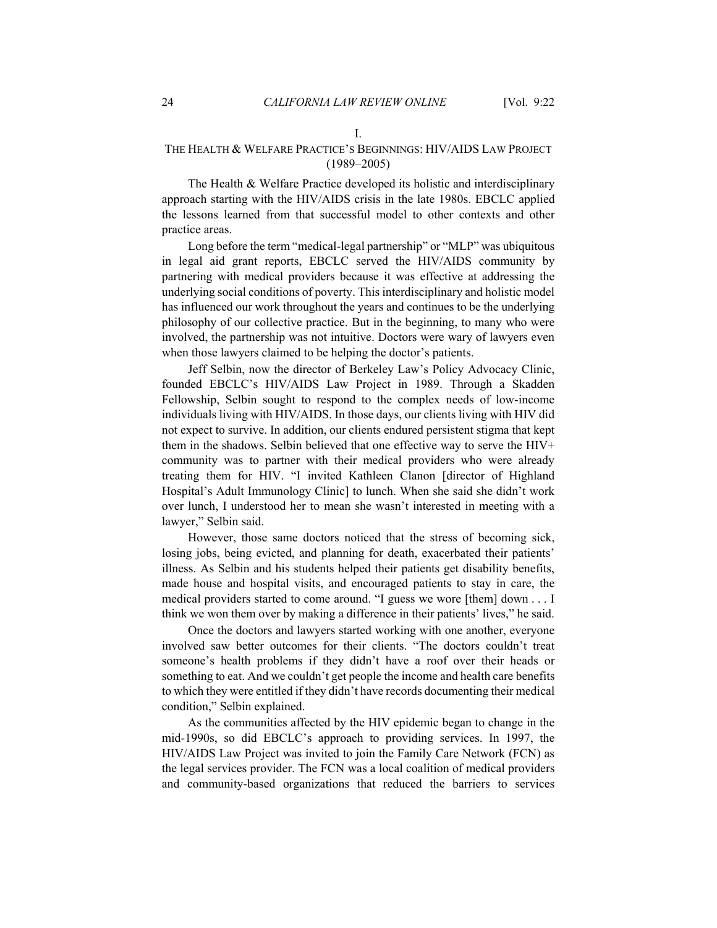## I.

# THE HEALTH & WELFARE PRACTICE'S BEGINNINGS: HIV/AIDS LAW PROJECT (1989–2005)

The Health & Welfare Practice developed its holistic and interdisciplinary approach starting with the HIV/AIDS crisis in the late 1980s. EBCLC applied the lessons learned from that successful model to other contexts and other practice areas.

Long before the term "medical-legal partnership" or "MLP" was ubiquitous in legal aid grant reports, EBCLC served the HIV/AIDS community by partnering with medical providers because it was effective at addressing the underlying social conditions of poverty. This interdisciplinary and holistic model has influenced our work throughout the years and continues to be the underlying philosophy of our collective practice. But in the beginning, to many who were involved, the partnership was not intuitive. Doctors were wary of lawyers even when those lawyers claimed to be helping the doctor's patients.

Jeff Selbin, now the director of Berkeley Law's Policy Advocacy Clinic, founded EBCLC's HIV/AIDS Law Project in 1989. Through a Skadden Fellowship, Selbin sought to respond to the complex needs of low-income individuals living with HIV/AIDS. In those days, our clients living with HIV did not expect to survive. In addition, our clients endured persistent stigma that kept them in the shadows. Selbin believed that one effective way to serve the HIV+ community was to partner with their medical providers who were already treating them for HIV. "I invited Kathleen Clanon [director of Highland Hospital's Adult Immunology Clinic] to lunch. When she said she didn't work over lunch, I understood her to mean she wasn't interested in meeting with a lawyer," Selbin said.

However, those same doctors noticed that the stress of becoming sick, losing jobs, being evicted, and planning for death, exacerbated their patients' illness. As Selbin and his students helped their patients get disability benefits, made house and hospital visits, and encouraged patients to stay in care, the medical providers started to come around. "I guess we wore [them] down . . . I think we won them over by making a difference in their patients' lives," he said.

Once the doctors and lawyers started working with one another, everyone involved saw better outcomes for their clients. "The doctors couldn't treat someone's health problems if they didn't have a roof over their heads or something to eat. And we couldn't get people the income and health care benefits to which they were entitled if they didn't have records documenting their medical condition," Selbin explained.

As the communities affected by the HIV epidemic began to change in the mid-1990s, so did EBCLC's approach to providing services. In 1997, the HIV/AIDS Law Project was invited to join the Family Care Network (FCN) as the legal services provider. The FCN was a local coalition of medical providers and community-based organizations that reduced the barriers to services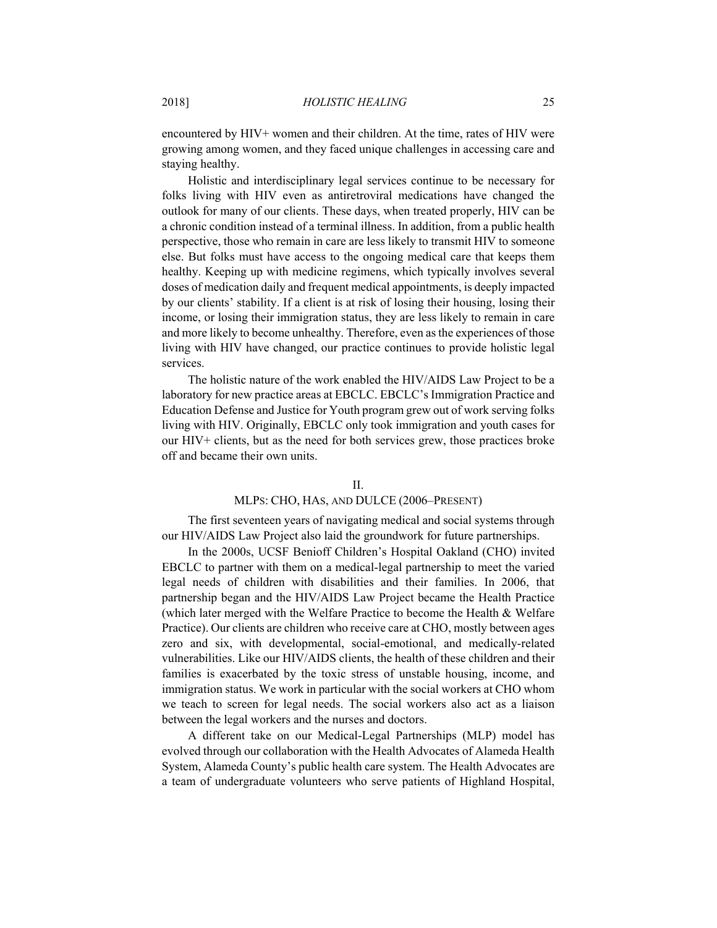encountered by HIV+ women and their children. At the time, rates of HIV were growing among women, and they faced unique challenges in accessing care and staying healthy.

Holistic and interdisciplinary legal services continue to be necessary for folks living with HIV even as antiretroviral medications have changed the outlook for many of our clients. These days, when treated properly, HIV can be a chronic condition instead of a terminal illness. In addition, from a public health perspective, those who remain in care are less likely to transmit HIV to someone else. But folks must have access to the ongoing medical care that keeps them healthy. Keeping up with medicine regimens, which typically involves several doses of medication daily and frequent medical appointments, is deeply impacted by our clients' stability. If a client is at risk of losing their housing, losing their income, or losing their immigration status, they are less likely to remain in care and more likely to become unhealthy. Therefore, even as the experiences of those living with HIV have changed, our practice continues to provide holistic legal services.

The holistic nature of the work enabled the HIV/AIDS Law Project to be a laboratory for new practice areas at EBCLC. EBCLC's Immigration Practice and Education Defense and Justice for Youth program grew out of work serving folks living with HIV. Originally, EBCLC only took immigration and youth cases for our HIV+ clients, but as the need for both services grew, those practices broke off and became their own units.

#### II.

#### MLPS: CHO, HAS, AND DULCE (2006–PRESENT)

The first seventeen years of navigating medical and social systems through our HIV/AIDS Law Project also laid the groundwork for future partnerships.

In the 2000s, UCSF Benioff Children's Hospital Oakland (CHO) invited EBCLC to partner with them on a medical-legal partnership to meet the varied legal needs of children with disabilities and their families. In 2006, that partnership began and the HIV/AIDS Law Project became the Health Practice (which later merged with the Welfare Practice to become the Health & Welfare Practice). Our clients are children who receive care at CHO, mostly between ages zero and six, with developmental, social-emotional, and medically-related vulnerabilities. Like our HIV/AIDS clients, the health of these children and their families is exacerbated by the toxic stress of unstable housing, income, and immigration status. We work in particular with the social workers at CHO whom we teach to screen for legal needs. The social workers also act as a liaison between the legal workers and the nurses and doctors.

A different take on our Medical-Legal Partnerships (MLP) model has evolved through our collaboration with the Health Advocates of Alameda Health System, Alameda County's public health care system. The Health Advocates are a team of undergraduate volunteers who serve patients of Highland Hospital,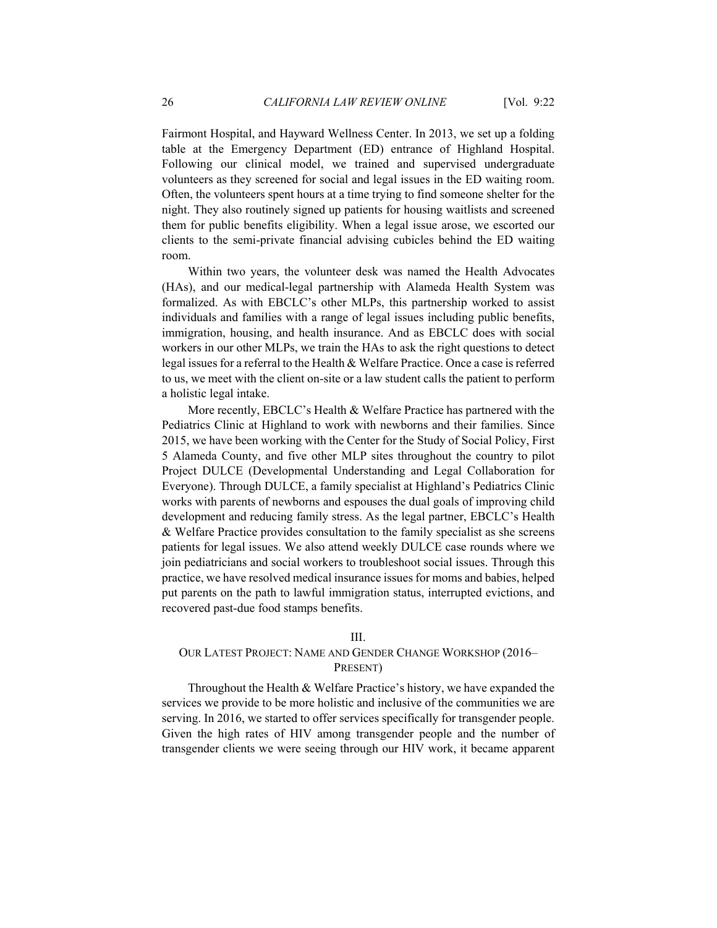Fairmont Hospital, and Hayward Wellness Center. In 2013, we set up a folding table at the Emergency Department (ED) entrance of Highland Hospital. Following our clinical model, we trained and supervised undergraduate volunteers as they screened for social and legal issues in the ED waiting room. Often, the volunteers spent hours at a time trying to find someone shelter for the night. They also routinely signed up patients for housing waitlists and screened them for public benefits eligibility. When a legal issue arose, we escorted our clients to the semi-private financial advising cubicles behind the ED waiting room.

Within two years, the volunteer desk was named the Health Advocates (HAs), and our medical-legal partnership with Alameda Health System was formalized. As with EBCLC's other MLPs, this partnership worked to assist individuals and families with a range of legal issues including public benefits, immigration, housing, and health insurance. And as EBCLC does with social workers in our other MLPs, we train the HAs to ask the right questions to detect legal issues for a referral to the Health & Welfare Practice. Once a case is referred to us, we meet with the client on-site or a law student calls the patient to perform a holistic legal intake.

More recently, EBCLC's Health & Welfare Practice has partnered with the Pediatrics Clinic at Highland to work with newborns and their families. Since 2015, we have been working with the Center for the Study of Social Policy, First 5 Alameda County, and five other MLP sites throughout the country to pilot Project DULCE (Developmental Understanding and Legal Collaboration for Everyone). Through DULCE, a family specialist at Highland's Pediatrics Clinic works with parents of newborns and espouses the dual goals of improving child development and reducing family stress. As the legal partner, EBCLC's Health & Welfare Practice provides consultation to the family specialist as she screens patients for legal issues. We also attend weekly DULCE case rounds where we join pediatricians and social workers to troubleshoot social issues. Through this practice, we have resolved medical insurance issues for moms and babies, helped put parents on the path to lawful immigration status, interrupted evictions, and recovered past-due food stamps benefits.

## III.

# OUR LATEST PROJECT: NAME AND GENDER CHANGE WORKSHOP (2016– PRESENT)

Throughout the Health & Welfare Practice's history, we have expanded the services we provide to be more holistic and inclusive of the communities we are serving. In 2016, we started to offer services specifically for transgender people. Given the high rates of HIV among transgender people and the number of transgender clients we were seeing through our HIV work, it became apparent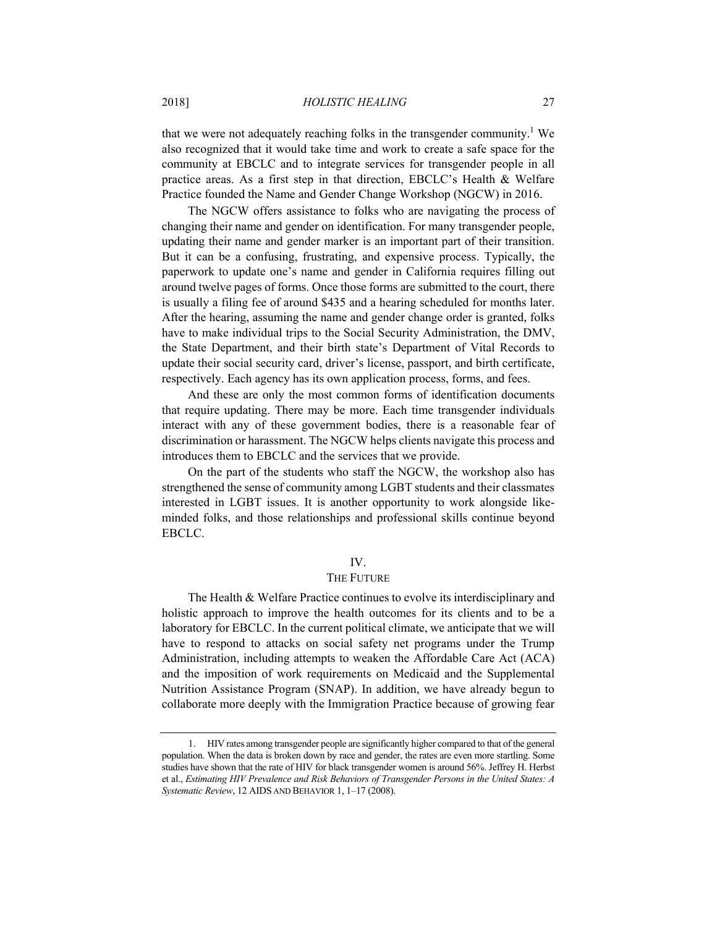that we were not adequately reaching folks in the transgender community.<sup>1</sup> We also recognized that it would take time and work to create a safe space for the community at EBCLC and to integrate services for transgender people in all practice areas. As a first step in that direction, EBCLC's Health & Welfare Practice founded the Name and Gender Change Workshop (NGCW) in 2016.

The NGCW offers assistance to folks who are navigating the process of changing their name and gender on identification. For many transgender people, updating their name and gender marker is an important part of their transition. But it can be a confusing, frustrating, and expensive process. Typically, the paperwork to update one's name and gender in California requires filling out around twelve pages of forms. Once those forms are submitted to the court, there is usually a filing fee of around \$435 and a hearing scheduled for months later. After the hearing, assuming the name and gender change order is granted, folks have to make individual trips to the Social Security Administration, the DMV, the State Department, and their birth state's Department of Vital Records to update their social security card, driver's license, passport, and birth certificate, respectively. Each agency has its own application process, forms, and fees.

And these are only the most common forms of identification documents that require updating. There may be more. Each time transgender individuals interact with any of these government bodies, there is a reasonable fear of discrimination or harassment. The NGCW helps clients navigate this process and introduces them to EBCLC and the services that we provide.

On the part of the students who staff the NGCW, the workshop also has strengthened the sense of community among LGBT students and their classmates interested in LGBT issues. It is another opportunity to work alongside likeminded folks, and those relationships and professional skills continue beyond EBCLC.

## IV.

## THE FUTURE

The Health & Welfare Practice continues to evolve its interdisciplinary and holistic approach to improve the health outcomes for its clients and to be a laboratory for EBCLC. In the current political climate, we anticipate that we will have to respond to attacks on social safety net programs under the Trump Administration, including attempts to weaken the Affordable Care Act (ACA) and the imposition of work requirements on Medicaid and the Supplemental Nutrition Assistance Program (SNAP). In addition, we have already begun to collaborate more deeply with the Immigration Practice because of growing fear

 <sup>1.</sup> HIV rates among transgender people are significantly higher compared to that of the general population. When the data is broken down by race and gender, the rates are even more startling. Some studies have shown that the rate of HIV for black transgender women is around 56%. Jeffrey H. Herbst et al., *Estimating HIV Prevalence and Risk Behaviors of Transgender Persons in the United States: A Systematic Review*, 12 AIDS AND BEHAVIOR 1, 1–17 (2008).